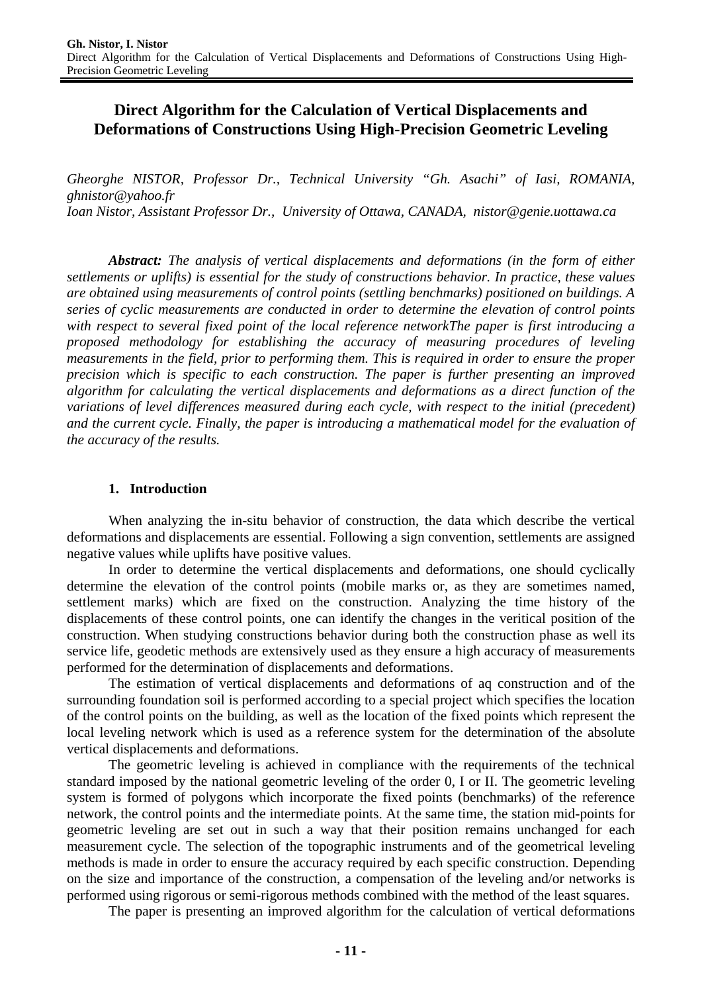# **Direct Algorithm for the Calculation of Vertical Displacements and Deformations of Constructions Using High-Precision Geometric Leveling**

*Gheorghe NISTOR, Professor Dr., Technical University "Gh. Asachi" of Iasi, ROMANIA, ghnistor@yahoo.fr Ioan Nistor, Assistant Professor Dr., University of Ottawa, CANADA, nistor@genie.uottawa.ca* 

*Abstract: The analysis of vertical displacements and deformations (in the form of either settlements or uplifts) is essential for the study of constructions behavior. In practice, these values are obtained using measurements of control points (settling benchmarks) positioned on buildings. A series of cyclic measurements are conducted in order to determine the elevation of control points with respect to several fixed point of the local reference networkThe paper is first introducing a proposed methodology for establishing the accuracy of measuring procedures of leveling measurements in the field, prior to performing them. This is required in order to ensure the proper precision which is specific to each construction. The paper is further presenting an improved algorithm for calculating the vertical displacements and deformations as a direct function of the variations of level differences measured during each cycle, with respect to the initial (precedent) and the current cycle. Finally, the paper is introducing a mathematical model for the evaluation of the accuracy of the results.*

# **1. Introduction**

When analyzing the in-situ behavior of construction, the data which describe the vertical deformations and displacements are essential. Following a sign convention, settlements are assigned negative values while uplifts have positive values.

In order to determine the vertical displacements and deformations, one should cyclically determine the elevation of the control points (mobile marks or, as they are sometimes named, settlement marks) which are fixed on the construction. Analyzing the time history of the displacements of these control points, one can identify the changes in the veritical position of the construction. When studying constructions behavior during both the construction phase as well its service life, geodetic methods are extensively used as they ensure a high accuracy of measurements performed for the determination of displacements and deformations.

The estimation of vertical displacements and deformations of aq construction and of the surrounding foundation soil is performed according to a special project which specifies the location of the control points on the building, as well as the location of the fixed points which represent the local leveling network which is used as a reference system for the determination of the absolute vertical displacements and deformations.

The geometric leveling is achieved in compliance with the requirements of the technical standard imposed by the national geometric leveling of the order 0, I or II. The geometric leveling system is formed of polygons which incorporate the fixed points (benchmarks) of the reference network, the control points and the intermediate points. At the same time, the station mid-points for geometric leveling are set out in such a way that their position remains unchanged for each measurement cycle. The selection of the topographic instruments and of the geometrical leveling methods is made in order to ensure the accuracy required by each specific construction. Depending on the size and importance of the construction, a compensation of the leveling and/or networks is performed using rigorous or semi-rigorous methods combined with the method of the least squares.

The paper is presenting an improved algorithm for the calculation of vertical deformations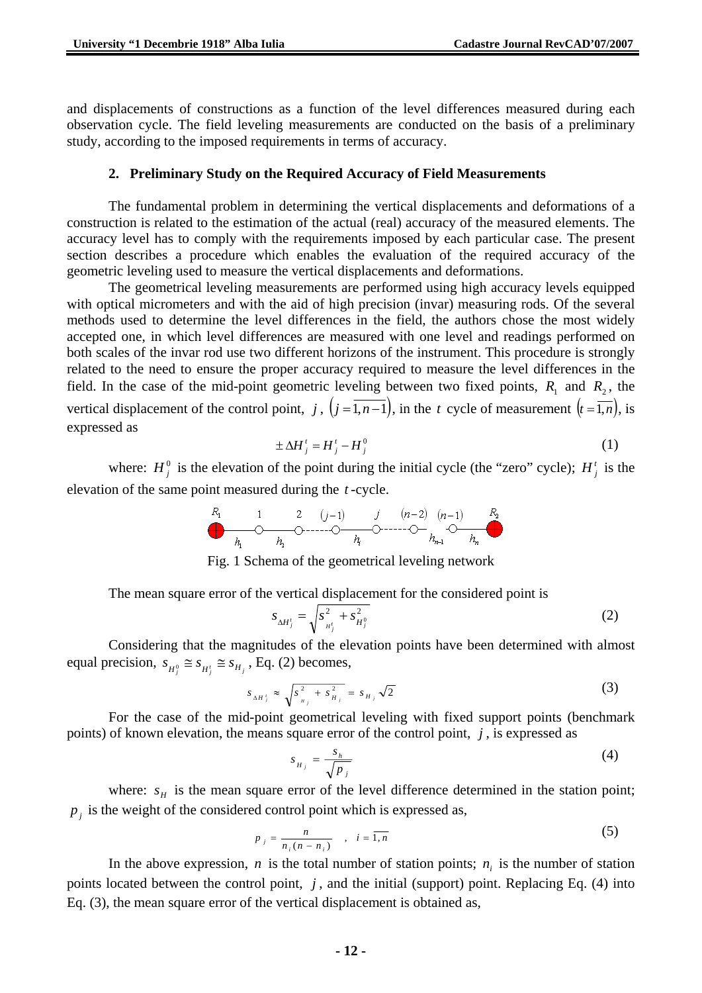and displacements of constructions as a function of the level differences measured during each observation cycle. The field leveling measurements are conducted on the basis of a preliminary study, according to the imposed requirements in terms of accuracy.

#### **2. Preliminary Study on the Required Accuracy of Field Measurements**

The fundamental problem in determining the vertical displacements and deformations of a construction is related to the estimation of the actual (real) accuracy of the measured elements. The accuracy level has to comply with the requirements imposed by each particular case. The present section describes a procedure which enables the evaluation of the required accuracy of the geometric leveling used to measure the vertical displacements and deformations.

The geometrical leveling measurements are performed using high accuracy levels equipped with optical micrometers and with the aid of high precision (invar) measuring rods. Of the several methods used to determine the level differences in the field, the authors chose the most widely accepted one, in which level differences are measured with one level and readings performed on both scales of the invar rod use two different horizons of the instrument. This procedure is strongly related to the need to ensure the proper accuracy required to measure the level differences in the field. In the case of the mid-point geometric leveling between two fixed points,  $R_1$  and  $R_2$ , the vertical displacement of the control point, *j*,  $(j = \overline{1, n-1})$ , in the *t* cycle of measurement  $(i = \overline{1, n})$ , is expressed as

$$
\pm \Delta H_j' = H_j' - H_j^0 \tag{1}
$$

where:  $H_j^0$  is the elevation of the point during the initial cycle (the "zero" cycle);  $H_j^i$  is the elevation of the same point measured during the *t* -cycle.





The mean square error of the vertical displacement for the considered point is

$$
s_{\Delta H^i_j} = \sqrt{s_{H^i_j}^2 + s_{H^0_j}^2}
$$
 (2)

Considering that the magnitudes of the elevation points have been determined with almost equal precision,  $s_{H_i^0} \cong s_{H_i^t} \cong s_{H_i}$ , Eq. (2) becomes,

$$
s_{\Delta H^i_j} \approx \sqrt{s_{\mu_j}^2 + s_{\mu_j}^2} = s_{H_j} \sqrt{2}
$$
 (3)

For the case of the mid-point geometrical leveling with fixed support points (benchmark points) of known elevation, the means square error of the control point, *j* , is expressed as

$$
s_{H_j} = \frac{s_h}{\sqrt{p_j}}\tag{4}
$$

where:  $s_H$  is the mean square error of the level difference determined in the station point;  $p_i$  is the weight of the considered control point which is expressed as,

$$
p_j = \frac{n}{n_i(n - n_i)} \quad , \quad i = \overline{1, n} \tag{5}
$$

In the above expression,  $n$  is the total number of station points;  $n<sub>i</sub>$  is the number of station points located between the control point, *j* , and the initial (support) point. Replacing Eq. (4) into Eq. (3), the mean square error of the vertical displacement is obtained as,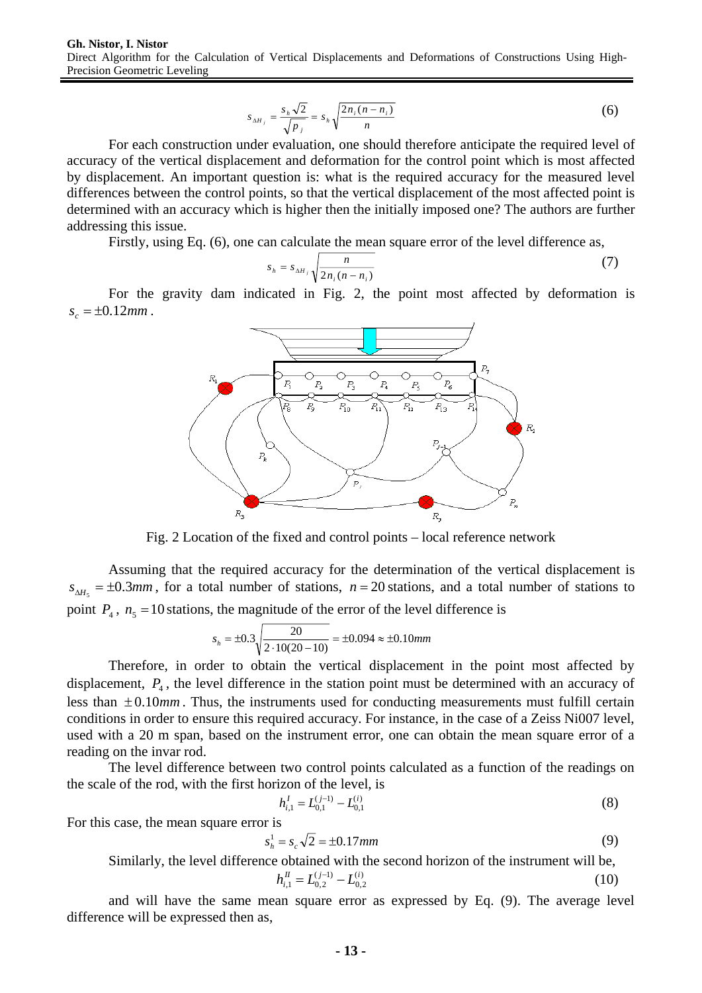$$
s_{\Delta H_j} = \frac{s_h \sqrt{2}}{\sqrt{p_j}} = s_h \sqrt{\frac{2n_i(n - n_i)}{n}}
$$
 (6)

For each construction under evaluation, one should therefore anticipate the required level of accuracy of the vertical displacement and deformation for the control point which is most affected by displacement. An important question is: what is the required accuracy for the measured level differences between the control points, so that the vertical displacement of the most affected point is determined with an accuracy which is higher then the initially imposed one? The authors are further addressing this issue.

Firstly, using Eq. (6), one can calculate the mean square error of the level difference as,

$$
s_h = s_{\Delta H_j} \sqrt{\frac{n}{2n_i(n-n_i)}}\tag{7}
$$

For the gravity dam indicated in Fig. 2, the point most affected by deformation is  $s_c = \pm 0.12$ *mm*.



Fig. 2 Location of the fixed and control points – local reference network

Assuming that the required accuracy for the determination of the vertical displacement is  $s_{\text{AH}_{n}} = \pm 0.3 \text{mm}$ , for a total number of stations,  $n = 20$  stations, and a total number of stations to point  $P_4$ ,  $n_5 = 10$  stations, the magnitude of the error of the level difference is

$$
s_h = \pm 0.3 \sqrt{\frac{20}{2 \cdot 10(20 - 10)}} = \pm 0.094 \approx \pm 0.10 \, \text{mm}
$$

Therefore, in order to obtain the vertical displacement in the point most affected by displacement,  $P_4$ , the level difference in the station point must be determined with an accuracy of less than  $\pm 0.10$ *mm*. Thus, the instruments used for conducting measurements must fulfill certain conditions in order to ensure this required accuracy. For instance, in the case of a Zeiss Ni007 level, used with a 20 m span, based on the instrument error, one can obtain the mean square error of a reading on the invar rod.

The level difference between two control points calculated as a function of the readings on the scale of the rod, with the first horizon of the level, is

$$
h_{i,1}^I = L_{0,1}^{(j-1)} - L_{0,1}^{(i)}
$$
\n(8)

For this case, the mean square error is

$$
s_h^1 = s_c \sqrt{2} = \pm 0.17 \, \text{mm} \tag{9}
$$

Similarly, the level difference obtained with the second horizon of the instrument will be,

$$
h_{i,1}^H = L_{0,2}^{(j-1)} - L_{0,2}^{(i)}
$$
 (10)

and will have the same mean square error as expressed by Eq. (9). The average level difference will be expressed then as,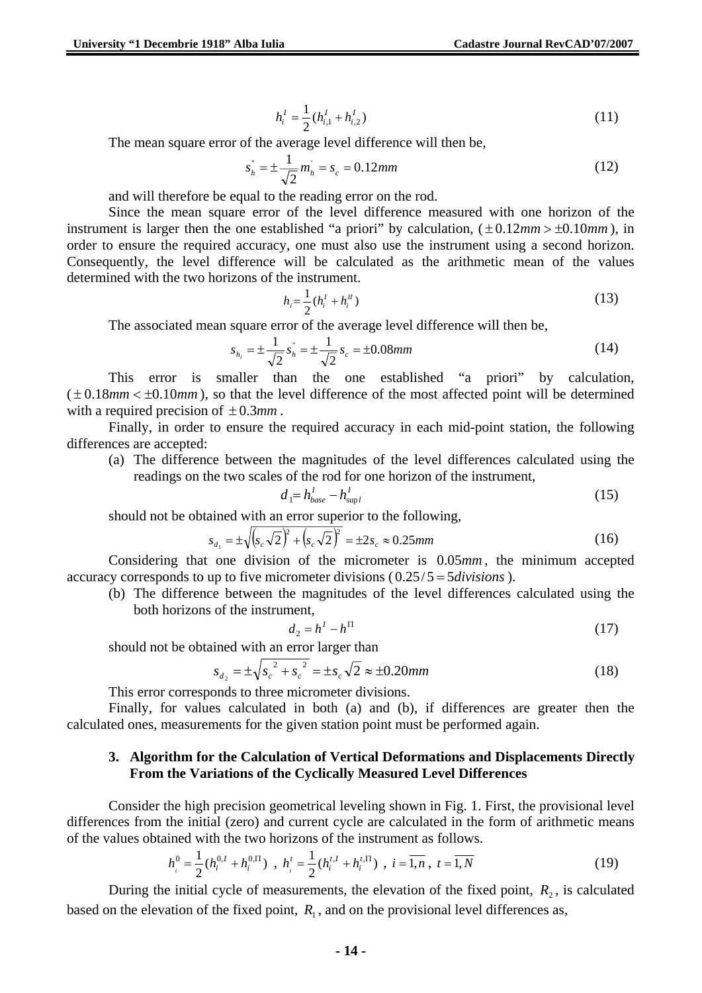$$
h_i^I = \frac{1}{2} (h_{i,1}^I + h_{i,2}^I)
$$
 (11)

The mean square error of the average level difference will then be,

$$
s_n^{\dagger} = \pm \frac{1}{\sqrt{2}} m_n^{\dagger} = s_c = 0.12 \, \text{mm} \tag{12}
$$

and will therefore be equal to the reading error on the rod.

Since the mean square error of the level difference measured with one horizon of the instrument is larger then the one established "a priori" by calculation,  $(\pm 0.12mm > \pm 0.10mm)$ , in order to ensure the required accuracy, one must also use the instrument using a second horizon. Consequently, the level difference will be calculated as the arithmetic mean of the values determined with the two horizons of the instrument.

$$
h_i = \frac{1}{2} (h_i^I + h_i^I) \tag{13}
$$

The associated mean square error of the average level difference will then be,

$$
s_{h_i} = \pm \frac{1}{\sqrt{2}} s_h^{\dagger} = \pm \frac{1}{\sqrt{2}} s_c = \pm 0.08 \, \text{mm} \tag{14}
$$

This error is smaller than the one established "a priori" by calculation,  $(\pm 0.18mm < \pm 0.10mm)$ , so that the level difference of the most affected point will be determined with a required precision of ± 0.3*mm* .

Finally, in order to ensure the required accuracy in each mid-point station, the following differences are accepted:

(a) The difference between the magnitudes of the level differences calculated using the readings on the two scales of the rod for one horizon of the instrument,

$$
d_{\parallel} = h_{base}^I - h_{\text{supl}}^I \tag{15}
$$

should not be obtained with an error superior to the following,

$$
s_{d_1} = \pm \sqrt{(s_c \sqrt{2})^2 + (s_c \sqrt{2})^2} = \pm 2s_c \approx 0.25 \, mm \tag{16}
$$

Considering that one division of the micrometer is 0.05*mm* , the minimum accepted accuracy corresponds to up to five micrometer divisions ( 0.25/5 = 5*divisions* ).

(b) The difference between the magnitudes of the level differences calculated using the both horizons of the instrument,

$$
d_2 = h^I - h^{\Pi} \tag{17}
$$

should not be obtained with an error larger than

$$
s_{d_2} = \pm \sqrt{s_c^2 + s_c^2} = \pm s_c \sqrt{2} \approx \pm 0.20 \, \text{mm}
$$
\n(18)

This error corresponds to three micrometer divisions.

Finally, for values calculated in both (a) and (b), if differences are greater then the calculated ones, measurements for the given station point must be performed again.

#### **3. Algorithm for the Calculation of Vertical Deformations and Displacements Directly From the Variations of the Cyclically Measured Level Differences**

Consider the high precision geometrical leveling shown in Fig. 1. First, the provisional level differences from the initial (zero) and current cycle are calculated in the form of arithmetic means of the values obtained with the two horizons of the instrument as follows.

$$
h_i^0 = \frac{1}{2} (h_i^{0,I} + h_i^{0,\Pi}) \, , \, h_i^t = \frac{1}{2} (h_i^{t,I} + h_i^{t,\Pi}) \, , \, i = \overline{1,n} \, , \, t = \overline{1,N} \tag{19}
$$

During the initial cycle of measurements, the elevation of the fixed point,  $R_2$ , is calculated based on the elevation of the fixed point,  $R_1$ , and on the provisional level differences as,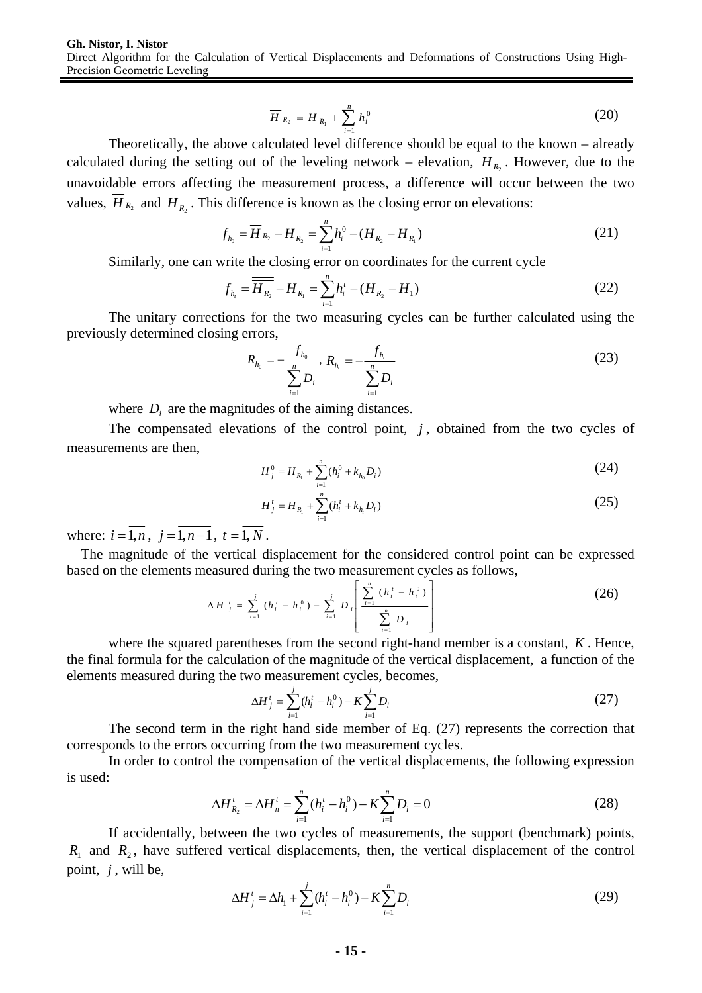$$
\overline{H}_{R_2} = H_{R_1} + \sum_{i=1}^n h_i^0
$$
 (20)

Theoretically, the above calculated level difference should be equal to the known – already calculated during the setting out of the leveling network – elevation,  $H_{R_2}$ . However, due to the unavoidable errors affecting the measurement process, a difference will occur between the two values,  $\overline{H}_{R_2}$  and  $H_{R_2}$ . This difference is known as the closing error on elevations:

$$
f_{h_0} = \overline{H}_{R_2} - H_{R_2} = \sum_{i=1}^{n} h_i^0 - (H_{R_2} - H_{R_1})
$$
\n(21)

Similarly, one can write the closing error on coordinates for the current cycle

$$
f_{h_i} = \overline{H_{R_2}} - H_{R_1} = \sum_{i=1}^{n} h_i^t - (H_{R_2} - H_1)
$$
 (22)

The unitary corrections for the two measuring cycles can be further calculated using the previously determined closing errors,

$$
R_{h_0} = -\frac{f_{h_0}}{\sum_{i=1}^n D_i}, R_{h_i} = -\frac{f_{h_i}}{\sum_{i=1}^n D_i}
$$
 (23)

where *D<sub>i</sub>* are the magnitudes of the aiming distances.

The compensated elevations of the control point,  $j$ , obtained from the two cycles of measurements are then,

$$
H_j^0 = H_{R_1} + \sum_{i=1}^n (h_i^0 + k_{h_0} D_i)
$$
 (24)

$$
H'_{j} = H_{R_{i}} + \sum_{i=1}^{n} (h'_{i} + k_{h_{i}} D_{i})
$$
\n(25)

where:  $i = \overline{1, n}$ ,  $j = \overline{1, n-1}$ ,  $t = \overline{1, N}$ .

The magnitude of the vertical displacement for the considered control point can be expressed based on the elements measured during the two measurement cycles as follows,

$$
\Delta H_{j}^{t} = \sum_{i=1}^{j} (h_{i}^{t} - h_{i}^{0}) - \sum_{i=1}^{j} D_{i} \left[ \frac{\sum_{i=1}^{n} (h_{i}^{t} - h_{i}^{0})}{\sum_{i=1}^{n} D_{i}} \right]
$$
(26)

where the squared parentheses from the second right-hand member is a constant, *K* . Hence, the final formula for the calculation of the magnitude of the vertical displacement, a function of the elements measured during the two measurement cycles, becomes,

$$
\Delta H_j^t = \sum_{i=1}^j (h_i^t - h_i^0) - K \sum_{i=1}^j D_i
$$
 (27)

The second term in the right hand side member of Eq. (27) represents the correction that corresponds to the errors occurring from the two measurement cycles.

In order to control the compensation of the vertical displacements, the following expression is used:

$$
\Delta H_{R_2}^t = \Delta H_n^t = \sum_{i=1}^n (h_i^t - h_i^0) - K \sum_{i=1}^n D_i = 0
$$
\n(28)

If accidentally, between the two cycles of measurements, the support (benchmark) points,  $R_1$  and  $R_2$ , have suffered vertical displacements, then, the vertical displacement of the control point, *j* , will be,

$$
\Delta H_j' = \Delta h_1 + \sum_{i=1}^j (h_i' - h_i^0) - K \sum_{i=1}^n D_i
$$
 (29)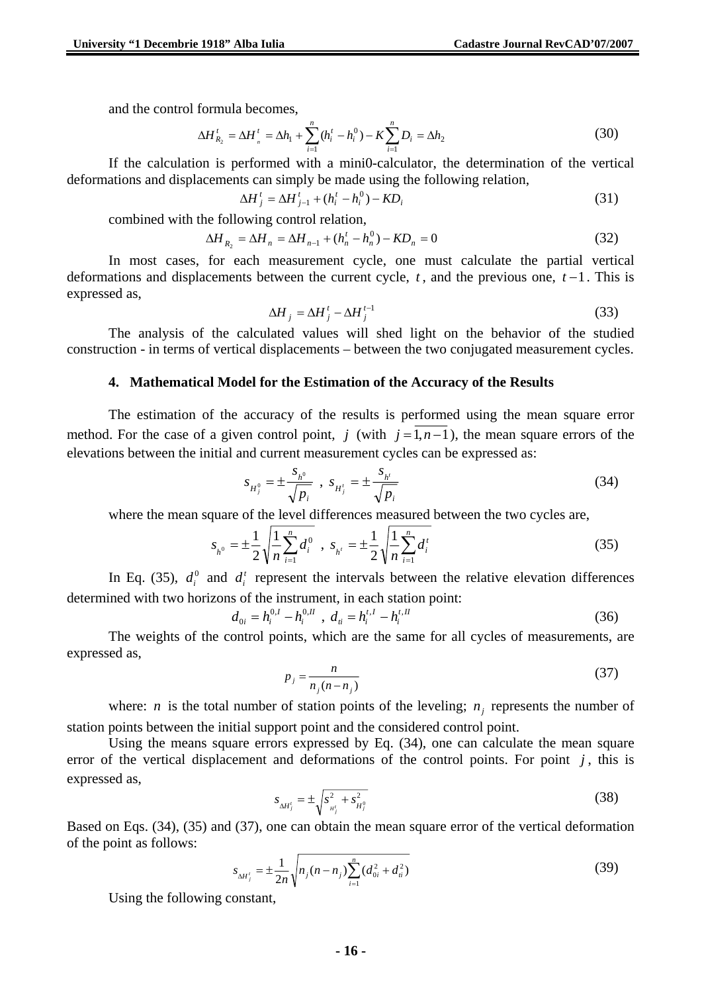and the control formula becomes,

$$
\Delta H_{R_2}^t = \Delta H_{n}^t = \Delta h_1 + \sum_{i=1}^n (h_i^t - h_i^0) - K \sum_{i=1}^n D_i = \Delta h_2
$$
\n(30)

If the calculation is performed with a mini0-calculator, the determination of the vertical deformations and displacements can simply be made using the following relation,

$$
\Delta H_j^t = \Delta H_{j-1}^t + (h_i^t - h_i^0) - K D_i \tag{31}
$$

combined with the following control relation,

$$
\Delta H_{R_2} = \Delta H_n = \Delta H_{n-1} + (h_n^t - h_n^0) - KD_n = 0
$$
\n(32)

In most cases, for each measurement cycle, one must calculate the partial vertical deformations and displacements between the current cycle, *t* , and the previous one, *t* −1. This is expressed as,

$$
\Delta H_j = \Delta H_j^t - \Delta H_j^{t-1} \tag{33}
$$

The analysis of the calculated values will shed light on the behavior of the studied construction - in terms of vertical displacements – between the two conjugated measurement cycles.

#### **4. Mathematical Model for the Estimation of the Accuracy of the Results**

The estimation of the accuracy of the results is performed using the mean square error method. For the case of a given control point, *j* (with  $j = 1, n-1$ ), the mean square errors of the elevations between the initial and current measurement cycles can be expressed as:

$$
s_{H_j^0} = \pm \frac{s_{h^0}}{\sqrt{p_i}} \, , \, s_{H_j'} = \pm \frac{s_{h'}}{\sqrt{p_i}} \tag{34}
$$

where the mean square of the level differences measured between the two cycles are,

$$
s_{h^0} = \pm \frac{1}{2} \sqrt{\frac{1}{n} \sum_{i=1}^n d_i^0}, \ s_{h'} = \pm \frac{1}{2} \sqrt{\frac{1}{n} \sum_{i=1}^n d_i^t}
$$
 (35)

In Eq. (35),  $d_i^0$  and  $d_i^t$  represent the intervals between the relative elevation differences determined with two horizons of the instrument, in each station point:

$$
d_{0i} = h_i^{0,I} - h_i^{0,II} \t, \t d_{ii} = h_i^{t,I} - h_i^{t,II} \t\t(36)
$$

The weights of the control points, which are the same for all cycles of measurements, are expressed as,

$$
p_j = \frac{n}{n_j(n - n_j)}\tag{37}
$$

where: *n* is the total number of station points of the leveling;  $n<sub>j</sub>$  represents the number of station points between the initial support point and the considered control point.

Using the means square errors expressed by Eq. (34), one can calculate the mean square error of the vertical displacement and deformations of the control points. For point  $j$ , this is expressed as,

$$
s_{\Delta H_j'} = \pm \sqrt{s_{H_j'}^2 + s_{H_j'}^2} \tag{38}
$$

Based on Eqs. (34), (35) and (37), one can obtain the mean square error of the vertical deformation of the point as follows:

$$
s_{\Delta H_j'} = \pm \frac{1}{2n} \sqrt{n_j (n - n_j) \sum_{i=1}^n (d_{0i}^2 + d_{ii}^2)}
$$
(39)

Using the following constant,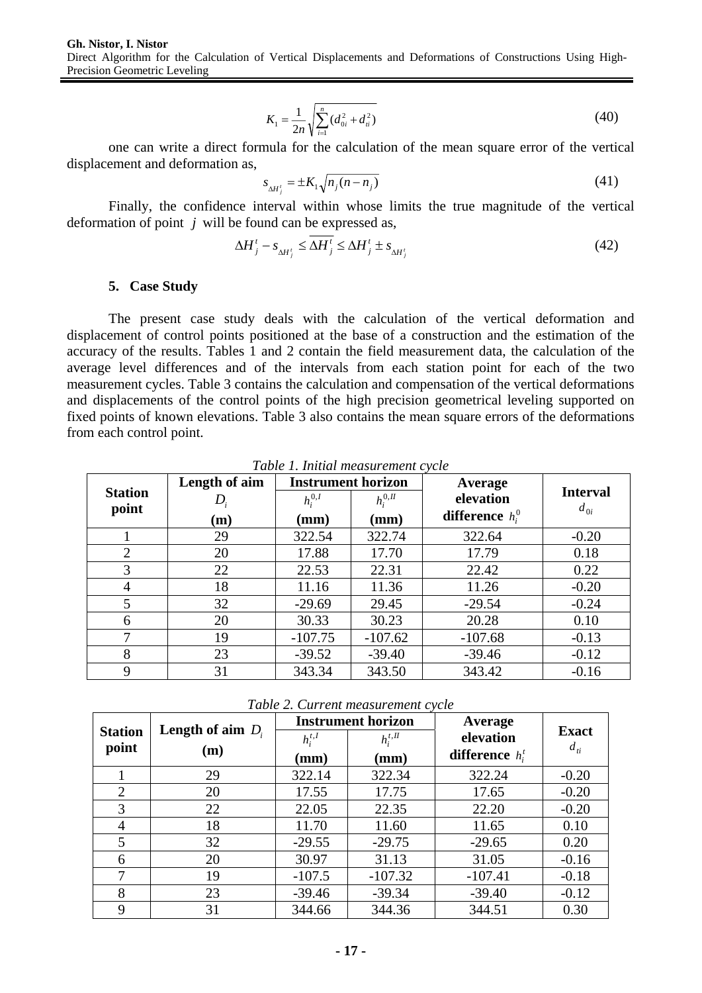**Gh. Nistor, I. Nistor**  Direct Algorithm for the Calculation of Vertical Displacements and Deformations of Constructions Using High-Precision Geometric Leveling

$$
K_1 = \frac{1}{2n} \sqrt{\sum_{i=1}^{n} (d_{0i}^2 + d_{ii}^2)}
$$
 (40)

one can write a direct formula for the calculation of the mean square error of the vertical displacement and deformation as,

$$
s_{\Delta H_j'} = \pm K_1 \sqrt{n_j (n - n_j)}\tag{41}
$$

Finally, the confidence interval within whose limits the true magnitude of the vertical deformation of point *j* will be found can be expressed as,

$$
\Delta H_j^t - s_{\Delta H_j^t} \le \overline{\Delta H_j^t} \le \Delta H_j^t \pm s_{\Delta H_j^t}
$$
\n(42)

#### **5. Case Study**

The present case study deals with the calculation of the vertical deformation and displacement of control points positioned at the base of a construction and the estimation of the accuracy of the results. Tables 1 and 2 contain the field measurement data, the calculation of the average level differences and of the intervals from each station point for each of the two measurement cycles. Table 3 contains the calculation and compensation of the vertical deformations and displacements of the control points of the high precision geometrical leveling supported on fixed points of known elevations. Table 3 also contains the mean square errors of the deformations from each control point.

| Table 1. miliai measurement cycle |               |                           |              |                    |                 |  |  |  |
|-----------------------------------|---------------|---------------------------|--------------|--------------------|-----------------|--|--|--|
| <b>Station</b><br>point           | Length of aim | <b>Instrument horizon</b> |              | Average            |                 |  |  |  |
|                                   |               | $h_i^{0,I}$               | $h_i^{0,II}$ | elevation          | <b>Interval</b> |  |  |  |
|                                   | (m)           | $(\mathbf{mm})$           | (mm)         | difference $h_i^0$ | $d_{0i}$        |  |  |  |
|                                   | 29            | 322.54                    | 322.74       | 322.64             | $-0.20$         |  |  |  |
| 2                                 | 20            | 17.88                     | 17.70        | 17.79              | 0.18            |  |  |  |
| 3                                 | 22            | 22.53                     | 22.31        | 22.42              | 0.22            |  |  |  |
| 4                                 | 18            | 11.16                     | 11.36        | 11.26              | $-0.20$         |  |  |  |
| $\overline{\mathbf{5}}$           | 32            | $-29.69$                  | 29.45        | $-29.54$           | $-0.24$         |  |  |  |
| 6                                 | 20            | 30.33                     | 30.23        | 20.28              | 0.10            |  |  |  |
| 7                                 | 19            | $-107.75$                 | $-107.62$    | $-107.68$          | $-0.13$         |  |  |  |
| 8                                 | 23            | $-39.52$                  | $-39.40$     | $-39.46$           | $-0.12$         |  |  |  |
| 9                                 | 31            | 343.34                    | 343.50       | 343.42             | $-0.16$         |  |  |  |

*Table 1. Initial measurement cycle* 

*Table 2. Current measurement cycle* 

| <b>Station</b><br>point |                                   |                     | <b>Instrument horizon</b>       | Average                         |                          |  |
|-------------------------|-----------------------------------|---------------------|---------------------------------|---------------------------------|--------------------------|--|
|                         | <b>Length of aim</b> $D_i$<br>(m) | $h_i^{t,I}$<br>(mm) | $h_i^{t,II}$<br>$(\mathbf{mm})$ | elevation<br>difference $h_i^t$ | <b>Exact</b><br>$d_{ti}$ |  |
|                         | 29                                | 322.14              | 322.34                          | 322.24                          | $-0.20$                  |  |
| $\overline{2}$          | 20                                | 17.55               | 17.75                           | 17.65                           | $-0.20$                  |  |
| 3                       | 22                                | 22.05               | 22.35                           | 22.20                           | $-0.20$                  |  |
| 4                       | 18                                | 11.70               | 11.60                           | 11.65                           | 0.10                     |  |
| 5                       | 32                                | $-29.55$            | $-29.75$                        | $-29.65$                        | 0.20                     |  |
| 6                       | 20                                | 30.97               | 31.13                           | 31.05                           | $-0.16$                  |  |
| 7                       | 19                                | $-107.5$            | $-107.32$                       | $-107.41$                       | $-0.18$                  |  |
| 8                       | 23                                | $-39.46$            | $-39.34$                        | $-39.40$                        | $-0.12$                  |  |
| 9                       | 31                                | 344.66              | 344.36                          | 344.51                          | 0.30                     |  |